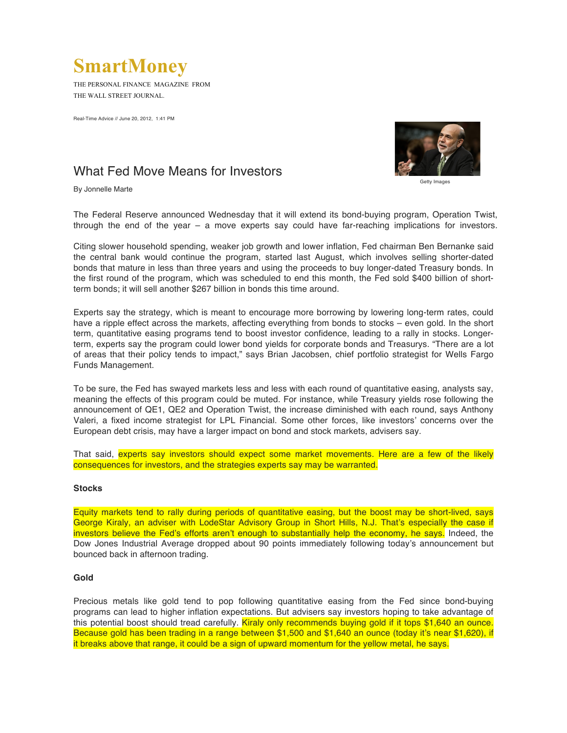# **SmartMoney**

THE PERSONAL FINANCE MAGAZINE FROM THE WALL STREET JOURNAL.

Real-Time Advice // June 20, 2012, 1:41 PM



# What Fed Move Means for Investors **Getty Images**

By Jonnelle Marte

The Federal Reserve announced Wednesday that it will extend its bond-buying program, Operation Twist, through the end of the year – a move experts say could have far-reaching implications for investors.

Citing slower household spending, weaker job growth and lower inflation, Fed chairman Ben Bernanke said the central bank would continue the program, started last August, which involves selling shorter-dated bonds that mature in less than three years and using the proceeds to buy longer-dated Treasury bonds. In the first round of the program, which was scheduled to end this month, the Fed sold \$400 billion of shortterm bonds; it will sell another \$267 billion in bonds this time around.

Experts say the strategy, which is meant to encourage more borrowing by lowering long-term rates, could have a ripple effect across the markets, affecting everything from bonds to stocks – even gold. In the short term, quantitative easing programs tend to boost investor confidence, leading to a rally in stocks. Longerterm, experts say the program could lower bond yields for corporate bonds and Treasurys. "There are a lot of areas that their policy tends to impact," says Brian Jacobsen, chief portfolio strategist for Wells Fargo Funds Management.

To be sure, the Fed has swayed markets less and less with each round of quantitative easing, analysts say, meaning the effects of this program could be muted. For instance, while Treasury yields rose following the announcement of QE1, QE2 and Operation Twist, the increase diminished with each round, says Anthony Valeri, a fixed income strategist for LPL Financial. Some other forces, like investors' concerns over the European debt crisis, may have a larger impact on bond and stock markets, advisers say.

That said, experts say investors should expect some market movements. Here are a few of the likely consequences for investors, and the strategies experts say may be warranted.

## **Stocks**

Equity markets tend to rally during periods of quantitative easing, but the boost may be short-lived, says George Kiraly, an adviser with LodeStar Advisory Group in Short Hills, N.J. That's especially the case if investors believe the Fed's efforts aren't enough to substantially help the economy, he says. Indeed, the Dow Jones Industrial Average dropped about 90 points immediately following today's announcement but bounced back in afternoon trading.

## **Gold**

Precious metals like gold tend to pop following quantitative easing from the Fed since bond-buying programs can lead to higher inflation expectations. But advisers say investors hoping to take advantage of this potential boost should tread carefully. Kiraly only recommends buying gold if it tops \$1,640 an ounce. Because gold has been trading in a range between \$1,500 and \$1,640 an ounce (today it's near \$1,620), if it breaks above that range, it could be a sign of upward momentum for the yellow metal, he says.